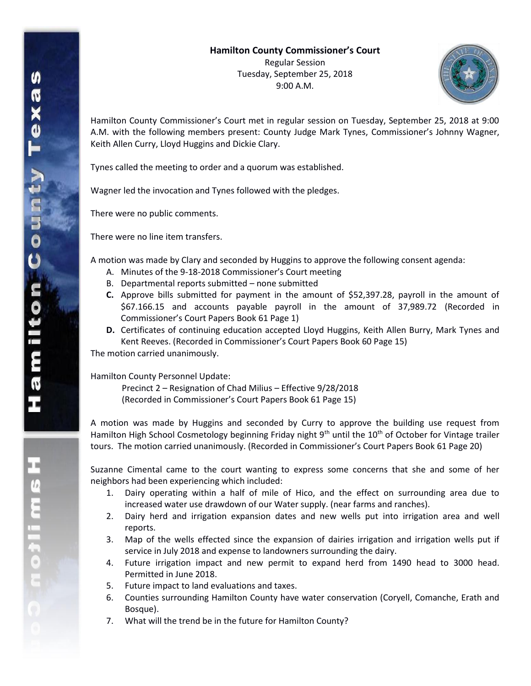

Hamilton County Commissioner's Court met in regular session on Tuesday, September 25, 2018 at 9:00 A.M. with the following members present: County Judge Mark Tynes, Commissioner's Johnny Wagner, Keith Allen Curry, Lloyd Huggins and Dickie Clary.

Tynes called the meeting to order and a quorum was established.

Wagner led the invocation and Tynes followed with the pledges.

There were no public comments.

There were no line item transfers.

A motion was made by Clary and seconded by Huggins to approve the following consent agenda:

- A. Minutes of the 9-18-2018 Commissioner's Court meeting
- B. Departmental reports submitted none submitted
- **C.** Approve bills submitted for payment in the amount of \$52,397.28, payroll in the amount of \$67.166.15 and accounts payable payroll in the amount of 37,989.72 (Recorded in Commissioner's Court Papers Book 61 Page 1)
- **D.** Certificates of continuing education accepted Lloyd Huggins, Keith Allen Burry, Mark Tynes and Kent Reeves. (Recorded in Commissioner's Court Papers Book 60 Page 15)

The motion carried unanimously.

Hamilton County Personnel Update:

Precinct 2 – Resignation of Chad Milius – Effective 9/28/2018 (Recorded in Commissioner's Court Papers Book 61 Page 15)

A motion was made by Huggins and seconded by Curry to approve the building use request from Hamilton High School Cosmetology beginning Friday night 9<sup>th</sup> until the 10<sup>th</sup> of October for Vintage trailer tours. The motion carried unanimously. (Recorded in Commissioner's Court Papers Book 61 Page 20)

Suzanne Cimental came to the court wanting to express some concerns that she and some of her neighbors had been experiencing which included:

- 1. Dairy operating within a half of mile of Hico, and the effect on surrounding area due to increased water use drawdown of our Water supply. (near farms and ranches).
- 2. Dairy herd and irrigation expansion dates and new wells put into irrigation area and well reports.
- 3. Map of the wells effected since the expansion of dairies irrigation and irrigation wells put if service in July 2018 and expense to landowners surrounding the dairy.
- 4. Future irrigation impact and new permit to expand herd from 1490 head to 3000 head. Permitted in June 2018.
- 5. Future impact to land evaluations and taxes.
- 6. Counties surrounding Hamilton County have water conservation (Coryell, Comanche, Erath and Bosque).
- 7. What will the trend be in the future for Hamilton County?

**H**<br>
S<br>
S<br>
S<br>
S<br>
S<br>
S<br>
S<br>
S<br>
S<br>
S<br><br><br><br><br>